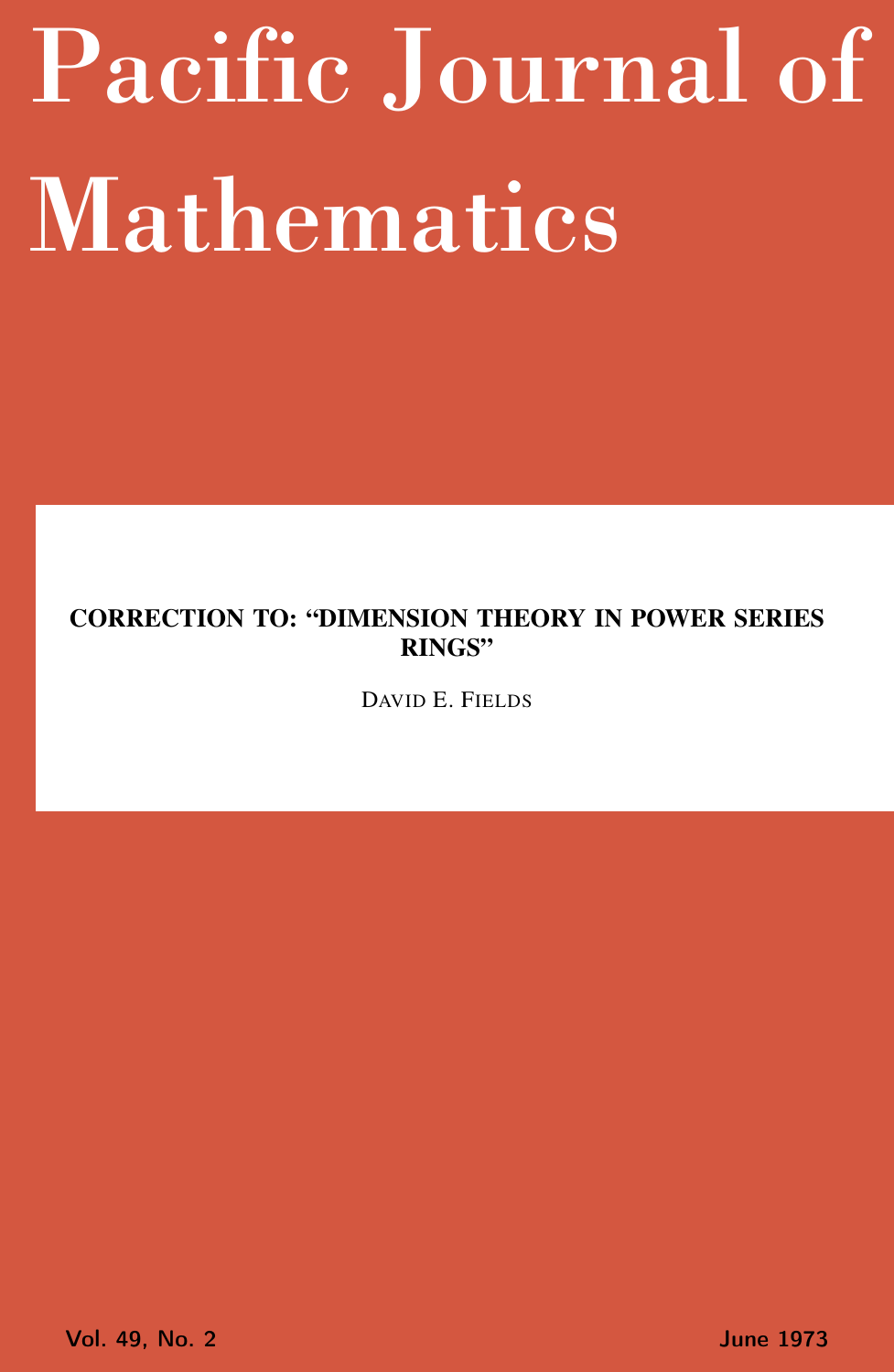# <span id="page-0-0"></span>Pacific Journal of Mathematics

# CORRECTION TO: "DIMENSION THEORY IN POWER SERIES RINGS"

DAVID E. FIELDS

Vol. 49, No. 2 June 1973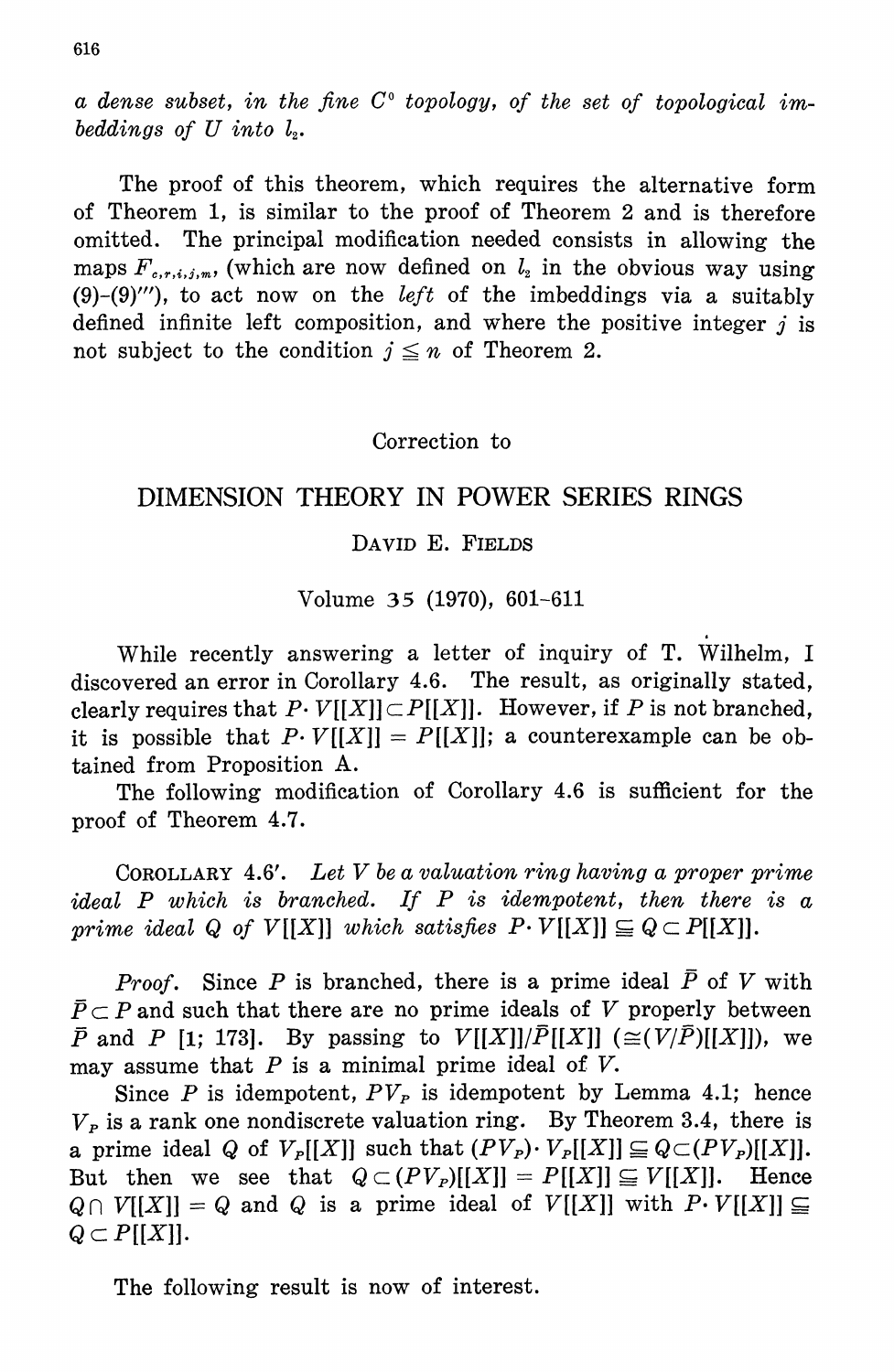a dense subset, in the fine  $C^{\circ}$  topology, of the set of topological imbeddings of  $U$  into  $l_z$ .

The proof of this theorem, which requires the alternative form of Theorem 1, is similar to the proof of Theorem 2 and is therefore omitted. The principal modification needed consists in allowing the maps  $F_{c,r,i,j,m}$ , (which are now defined on  $l_2$  in the obvious way using  $(9)-(9)$ "), to act now on the *left* of the imbeddings via a suitably defined infinite left composition, and where the positive integer  $j$  is not subject to the condition  $j \leq n$  of Theorem 2.

### Correction to

# DIMENSION THEORY IN POWER SERIES RINGS

## DAVID E. FIELDS

### Volume 35 (1970), 601-611

While recently answering a letter of inquiry of T. Wilhelm, I discovered an error in Corollary 4.6. The result, as originally stated. clearly requires that  $P \cdot V[[X]] \subset P[[X]]$ . However, if P is not branched, it is possible that  $P\text{\cdot} V[[X]] = P[[X]]$ ; a counterexample can be obtained from Proposition A.

The following modification of Corollary 4.6 is sufficient for the proof of Theorem 4.7.

COROLLARY 4.6'. Let V be a valuation ring having a proper prime ideal  $P$  which is branched. If  $P$  is idempotent, then there is a prime ideal Q of V[[X]] which satisfies  $P \cdot V[[X]] \subseteq Q \subset P[[X]].$ 

*Proof.* Since P is branched, there is a prime ideal  $\overline{P}$  of V with  $\bar{P} \subset P$  and such that there are no prime ideals of V properly between  $\overline{P}$  and P [1; 173]. By passing to  $V[[X]]/\overline{P}[[X]] \ (\cong (V/\overline{P})[[X]])$ , we may assume that  $P$  is a minimal prime ideal of  $V$ .

Since P is idempotent,  $PV<sub>P</sub>$  is idempotent by Lemma 4.1; hence  $V<sub>p</sub>$  is a rank one nondiscrete valuation ring. By Theorem 3.4, there is a prime ideal Q of  $V_p[[X]]$  such that  $(PV_p) \cdot V_p[[X]] \subseteq Q \subset (PV_p)[[X]]$ . But then we see that  $Q \subset (PV_P)[[X]] = P[[X]] \subseteq V[[X]]$ . Hence  $Q \cap V[[X]] = Q$  and Q is a prime ideal of  $V[[X]]$  with  $P \cdot V[[X]] \subseteq$  $Q \subset P[[X]].$ 

The following result is now of interest.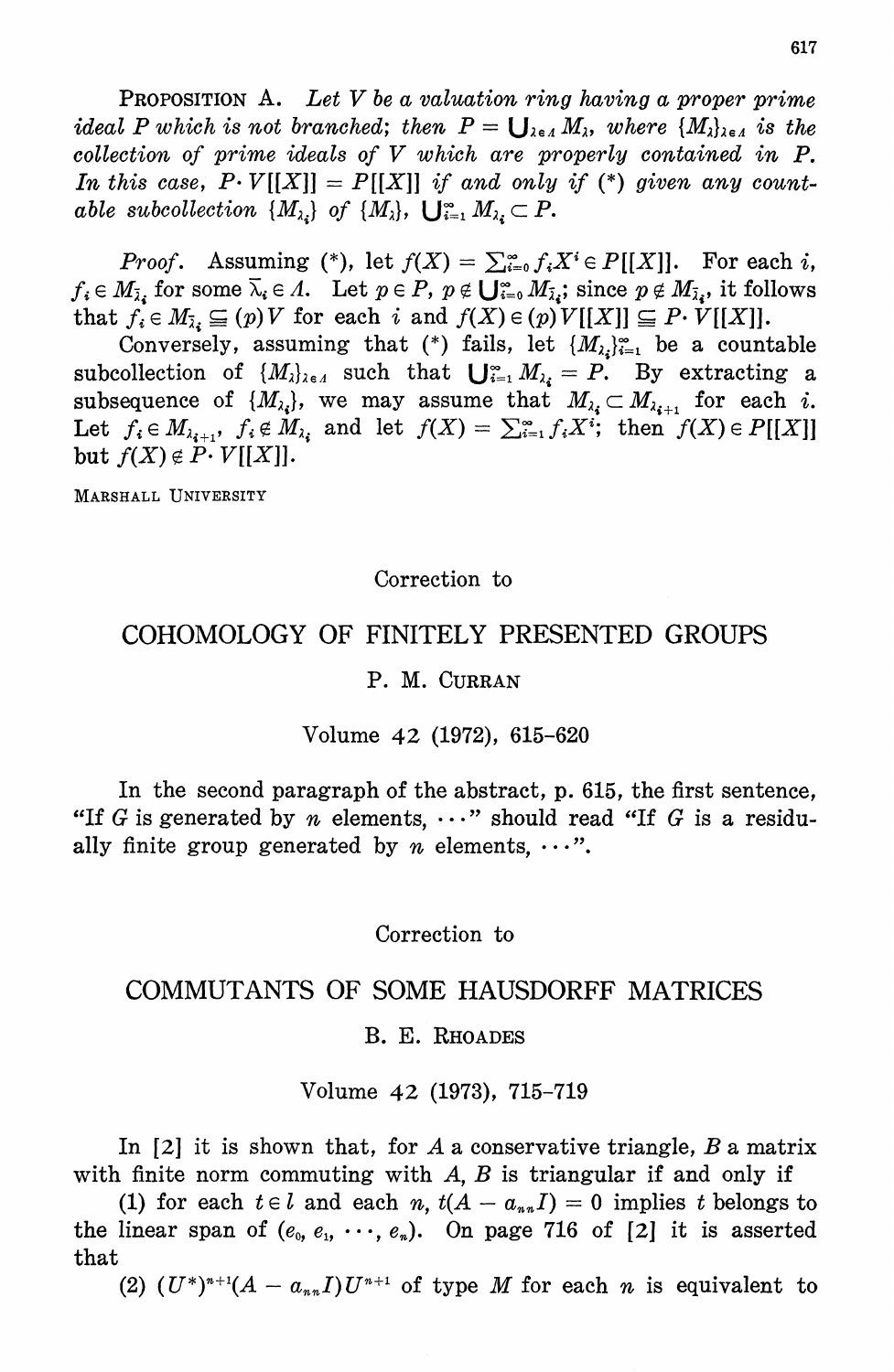**PROPOSITION** A. Let  $V$  be a valuation ring having a proper prime ideal P which is not branched; then  $P = \bigcup_{\lambda \in \Lambda} M_{\lambda}$ , where  $\{M_{\lambda}\}_{\lambda \in \Lambda}$  is the collection of prime ideals of  $V$  which are properly contained in  $P$ . In this case,  $P \cdot V[[X]] = P[[X]]$  if and only if (\*) given any countable subcollection  $\{M_{\lambda_i}\}\$  of  $\{M_{\lambda_i}\}\$ ,  $\bigcup_{i=1}^{\infty} M_{\lambda_i} \subset P$ .

*Proof.* Assuming (\*), let  $f(X) = \sum_{i=0}^{\infty} f_i X^i \in P[[X]].$  For each i,  $f_i \in M_{\bar{\lambda}_i}$  for some  $\bar{\lambda}_i \in \Lambda$ . Let  $p \in P$ ,  $p \notin \bigcup_{i=0}^{\infty} M_{\bar{\lambda}_i}$ ; since  $p \notin M_{\bar{\lambda}_i}$ , it follows that  $f_i \in M_{\bar{\lambda}_i} \subseteq (p) V$  for each i and  $f(X) \in (p) V[[X]] \subseteq P \cdot V[[X]].$ 

Conversely, assuming that (\*) fails, let  $\{M_{\lambda_i}\}_{i=1}^{\infty}$  be a countable subcollection of  $\{M_{\lambda}\}_{{\lambda}\in {\Lambda}}$  such that  $\bigcup_{i=1}^{\infty} M_{{\lambda}_i} = P$ . By extracting a subsequence of  $\{M_{\lambda_i}\}\$ , we may assume that  $M_{\lambda_i} \subset M_{\lambda_{i+1}}$  for each i. Let  $f_i \in M_{\lambda_{i+1}}, f_i \notin M_{\lambda_i}$  and let  $f(X) = \sum_{i=1}^{\infty} f_i X^i$ ; then  $f(X) \in P[[X]]$ but  $f(X) \notin P \cdot V[[X]].$ 

MARSHALL UNIVERSITY

### Correction to

# COHOMOLOGY OF FINITELY PRESENTED GROUPS

### P. M. CURRAN

### Volume 42 (1972), 615-620

In the second paragraph of the abstract, p. 615, the first sentence, "If G is generated by n elements,  $\cdots$ " should read "If G is a residually finite group generated by *n* elements,  $\cdots$ ".

### Correction to

### COMMUTANTS OF SOME HAUSDORFF MATRICES

### B. E. RHOADES

Volume 42 (1973), 715-719

In [2] it is shown that, for A a conservative triangle, B a matrix with finite norm commuting with  $A$ ,  $B$  is triangular if and only if

(1) for each  $t \in l$  and each n,  $t(A - a_{nn}I) = 0$  implies t belongs to the linear span of  $(e_0, e_1, \dots, e_n)$ . On page 716 of [2] it is asserted that

(2)  $(U^*)^{n+1}(A - a_{nn}I)U^{n+1}$  of type M for each n is equivalent to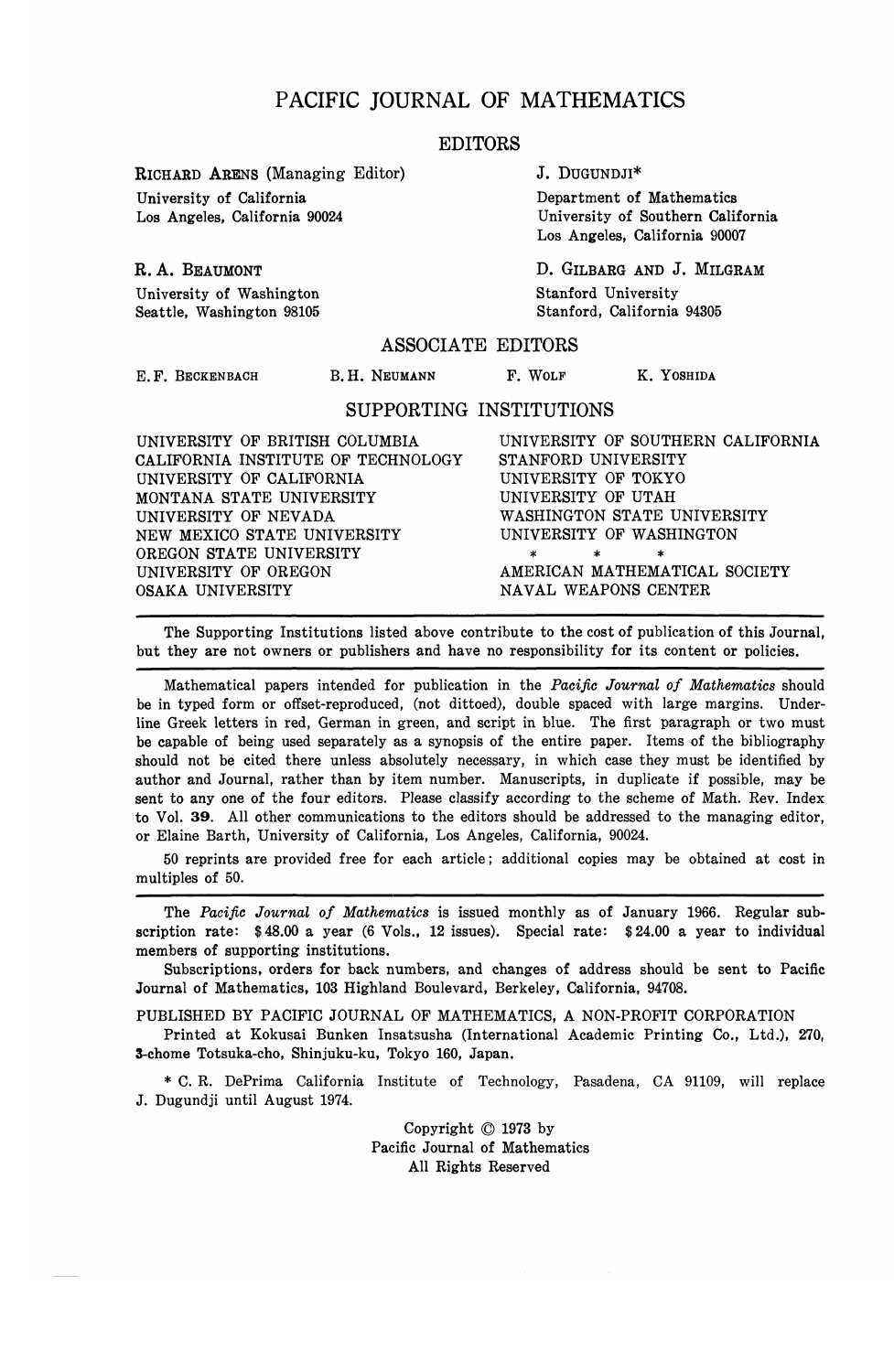### PACIFIC JOURNAL OF MATHEMATICS

### EDITORS

RICHARD ARENS (Managing Editor) J. DUGUNDJI\* University of California Department of Mathematics

Seattle, Washington 98105

Los Angeles, California 90024 University of Southern California Los Angeles, California 90007

R. A. BEAUMONT SALES AND D. GILBARG AND J. MILGRAM University of Washington<br>
Seattle, Washington 98105<br>
Stanford, California 94305

### ASSOCIATE EDITORS

E.F. BECKENBACH B.H. NEUMANN F. WOLF K. YOSHIDA

### SUPPORTING INSTITUTIONS

UNIVERSITY OF BRITISH COLUMBIA UNIVERSITY OF SOUTHERN CALIFORNIA<br>CALIFORNIA INSTITUTE OF TECHNOLOGY STANFORD UNIVERSITY CALIFORNIA INSTITUTE OF TECHNOLOGY STANFORD UNIVERSITY<br>UNIVERSITY OF CALIFORNIA UNIVERSITY OF TOKYO UNIVERSITY OF CALIFORNIA UNIVERSITY OF TOKYO MONTANA STATE UNIVERSITY<br>UNIVERSITY OF NEVADA NEW MEXICO STATE UNIVERSITY OREGON STATE UNIVERSITY UNIVERSITY OF OREGON AMERICAN MATHEMATICAL SOCIETY OSAKA UNIVERSITY **ALL ALL AND SOCIETY** 

WASHINGTON STATE UNIVERSITY<br>UNIVERSITY OF WASHINGTON NAVAL WEAPONS CENTER

The Supporting Institutions listed above contribute to the cost of publication of this Journal, but they are not owners or publishers and have no responsibility for its content or policies.

Mathematical papers intended for publication in the *Pacific Journal of Mathematics* should be in typed form or offset-reproduced, (not dittoed), double spaced with large margins. Underline Greek letters in red, German in green, and script in blue. The first paragraph or two must be capable of being used separately as a synopsis of the entire paper. Items of the bibliography should not be cited there unless absolutely necessary, in which case they must be identified by author and Journal, rather than by item number. Manuscripts, in duplicate if possible, may be sent to any one of the four editors. Please classify according to the scheme of Math. Rev. Index to Vol. 39. All other communications to the editors should be addressed to the managing editor, or Elaine Barth, University of California, Los Angeles, California, 90024.

50 reprints are provided free for each article; additional copies may be obtained at cost in multiples of 50.

The *Pacific Journal of Mathematics* is issued monthly as of January 1966. Regular subscription rate: \$48.00 a year (6 Vols., 12 issues). Special rate: \$24.00 a year to individual members of supporting institutions.

Subscriptions, orders for back numbers, and changes of address should be sent to Pacific Journal of Mathematics, 103 Highland Boulevard, Berkeley, California, 94708.

PUBLISHED BY PACIFIC JOURNAL OF MATHEMATICS, A NON-PROFIT CORPORATION

Printed at Kokusai Bunken Insatsusha (International Academic Printing Co., Ltd.), 270, 3-chome Totsuka-cho, Shinjuku-ku, Tokyo 160, Japan.

\* C. R. DePrima California Institute of Technology, Pasadena, CA 91109, will replace J. Dugundji until August 1974.

> Copyright © 1973 by Pacific Journal of Mathematics All Rights Reserved